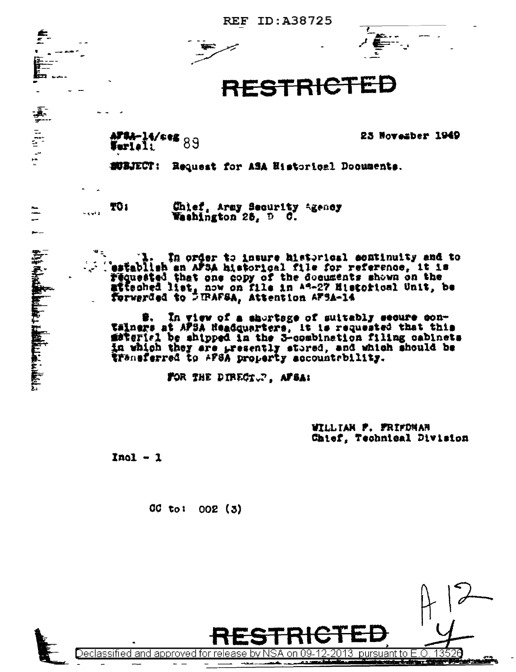ID:A38725 **REF** 



## RESTRICTE

AFSA-14/seg<br>Turleli

23 November 1949

**SUBJECT:** Request for ASA Historical Documents.

TO 1

(1) 中国 中国

 $\frac{1}{\sqrt{2}}$ 

**.** 

Chief, Army Security Agency Washington 25, D C.

In order to insure historical sentinuity and to establish an AFSA historical file for reference, it is requested that one copy of the documents shown on the atteched list, now on file in A4-27 Historical Unit, be forwarded to DTRAFSA, Attention AF3A-14

In view of a shortage of suitably secure con-Tälners at AFSA Headquarters, it is requested that this material be shipped in the 3-combination filing cabinets in which they are presently stored, and which should be transferred to AFSA property accountrbility.

FOR THE DIRECT. AFSA:

WILLIAN P. FRIFDNAN Chief, Technical Division

 $\overline{013}$  pursuant to

 $Inol - 1$ 

CC to:  $002(3)$